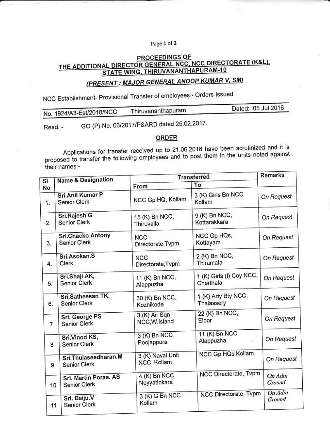## Page 1 of 2

## PROCEEDINGS OF THE ADDITIONAL DIRECTOR GENERAL NCC, NCC DIRECTORATE (K&L), STATE WING, THIRUVANANTHAPURAM-10

## (PRESENT: MAJOR GENERAL ANOOP KUMAR V, SM)

NCC Establishment- Provisional Transfer of employees - Orders Issued

|                          | Thiruvananthapuram | Dated: 05 Jul 2018 |
|--------------------------|--------------------|--------------------|
| No. 1924/A3-Est/2018/NCC |                    |                    |
|                          |                    |                    |

GO (P) No. 03/2017/P&ARD dated 25.02.2017. Read: -

## **ORDER**

Applications for transfer received up to 21.06.2018 have been scrutinized and it is proposed to transfer the following employees and to post them in the units noted against their names:-

|          | Name & Designation                       | <b>Transferred</b>              |                                       | Remarks          |
|----------|------------------------------------------|---------------------------------|---------------------------------------|------------------|
| SI<br>No |                                          | From                            | To                                    |                  |
| 1.       | Sri.Anil Kumar P<br>Senior Clerk         | NCC Gp HQ, Kollam               | 3 (K) Girls Bn NCC<br>Kollam          | On Request       |
| 2.       | Sri.Rajesh G<br><b>Senior Clerk</b>      | 15 (K) Bn NCC,<br>Thiruvalla    | 9 (K) Bn NCC,<br>Kottarakkara         | On Request       |
| 3.       | <b>Sri.Chacko Antony</b><br>Senior Clerk | <b>NCC</b><br>Directorate, Tvpm | NCC Gp HQs,<br>Kottayam               | On Request       |
| 4.       | Sri.Asokan.S<br>Clerk                    | <b>NCC</b><br>Directorate, Tvpm | 2 (K) Bn NCC,<br>Thirumala            | On Request       |
| 5.       | Sri.Shaji AK,<br>Senior Clerk            | 11 (K) Bn NCC,<br>Alappuzha     | 1 (K) Girls (I) Coy NCC,<br>Cherthala | On Request       |
| 6.       | Sri.Satheesan TK,<br>Senior Clerk        | 30 (K) Bn NCC,<br>Kozhikode     | 1 (K) Arty Bty NCC,<br>Thalassery     | On Request       |
| 7        | Sri. George PS<br>Senior Clerk           | 3 (K) Air Sqn<br>NCC, W.Island  | 22 (K) Bn NCC,<br>Eloor               | On Request       |
| 8        | Sri.Vinod KS,<br>Senior Clerk            | 3 (K) Bn NCC<br>Poojappura      | 11 (K) Bn NCC<br>Alappuzha<br>顕       | On Request       |
| 9        | Sri.Thulaseedharan.M<br>Senior Clerk     | 3 (K) Naval Unit<br>NCC, Kollam | <b>NCC Gp HQs Kollam</b>              | On Request       |
| 10       | Sri. Martin Poras. AS<br>Senior Clerk    | 4 (K) Bn NCC<br>Neyyatinkara    | NCC Directorate, Tvpm                 | On Adm<br>Ground |
| 11       | Sri. Baiju.V<br>Senior Clerk             | 3 (K) G Bn NCC<br>Kollam        | NCC Directorate, Tvpm                 | On Adm<br>Ground |